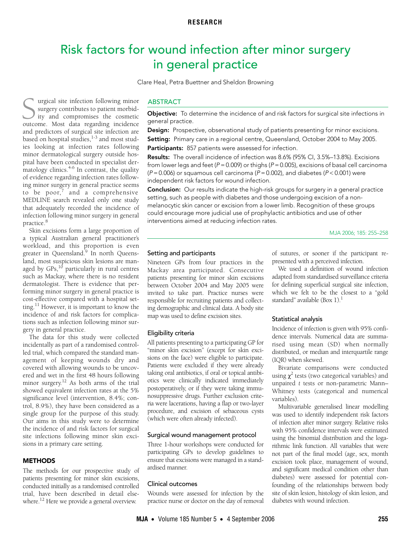# <span id="page-0-0"></span>Risk factors for wound infection after minor surgery in general practice

Clare Heal, Petra Buettner and Sheldon Browning

minor dermatologicar surgery outside nos-<br>pital have been conducted in specialist der- $\frac{1}{2}$  $\frac{1}{2}$  [matology](#page-0-0) clinics.<sup>[4](#page-3-2)-6</sup> In contrast, the quality of evidence regarding infection rates following minor surgery in general practice seems to be poor,<sup>[7](#page-3-4)</sup> and a comprehensive urgical site infection following minor surgery contributes to patient morbidity and compromises the cosmetic Surgery contributes to patient morbid-<br>ity and compromises the cosmetic<br>outcome. Most data regarding incidence and predictors of surgical site infection are based on hospital studies, $1-3$  $1-3$  and most studies looking at infection rates following minor dermatological surgery outside hos-MEDLINE search revealed only one study that adequately recorded the incidence of infection following minor surgery in general practice.<sup>[8](#page-3-5)</sup>

Skin excisions form a large proportion of a typical Australian general practitioner's workload, and this proportion is even greater in Queensland.<sup>9</sup> In north Queensland, most suspicious skin lesions are managed by  $GPs$ ,<sup>[10](#page-3-7)</sup> particularly in rural centres such as Mackay, where there is no resident dermatologist. There is evidence that performing minor surgery in general practice is cost-effective compared with a hospital set-ting.<sup>[11](#page-3-8)</sup> However, it is important to know the incidence of and risk factors for complications such as infection following minor surgery in general practice.

The data for this study were collected incidentally as part of a randomised controlled trial, which compared the standard management of keeping wounds dry and covered with allowing wounds to be uncovered and wet in the first 48 hours following minor surgery.<sup>[12](#page-3-9)</sup> As both arms of the trial showed equivalent infection rates at the 5% significance level (intervention, 8.4%; control, 8.9%), they have been considered as a single group for the purpose of this study. Our aims in this study were to determine the incidence of and risk factors for surgical site infections following minor skin excisions in a primary care setting.

#### **METHODS**

The methods for our prospective study of patients presenting for minor skin excisions, conducted initially as a randomised controlled trial, have been described in detail elsewhere.<sup>12</sup> Here we provide a general overview.

## **ABSTRACT**

**Objective:** To determine the incidence of and risk factors for surgical site infections in general practice.

Design: Prospective, observational study of patients presenting for minor excisions.

Setting: Primary care in a regional centre, Queensland, October 2004 to May 2005.

Participants: 857 patients were assessed for infection.

Results: The overall incidence of infection was 8.6% (95% CI, 3.5%–13.8%). Excisions [fro](#page-0-0)m lower legs and feet ( $P = 0.009$ ) or thighs ( $P = 0.005$ ), excisions of basal cell carcinoma  $(P = 0.006)$  or squamous cell carcinoma ( $P = 0.002$ ), and diabetes ( $P < 0.001$ ) were independent risk factors for wound infection.

**Conclusion:** Our results indicate the high-risk groups for surgery in a general practice setting, such as people with diabetes and those undergoing excision of a nonmelanocytic skin cancer or excision from a lower limb. Recognition of these groups could encourage more judicial use of prophylactic antibiotics and use of other interventions aimed at reducing infection rates.

MJA 2006; 185: 255–258

### Setting and participants

Nineteen GPs from four practices in the Mackay area participated. Consecutive patients presenting for minor skin excisions between October 2004 and May 2005 were invited to take part. Practice nurses were responsible for recruiting patients and collecting demographic and clinical data. A body site map was used to define excision sites.

## Eligibility criteria

All patients presenting to a participating GP for "minor skin excision" (except for skin excisions on the face) were eligible to participate. Patients were excluded if they were already taking oral antibiotics, if oral or topical antibiotics were clinically indicated immediately postoperatively, or if they were taking immunosuppressive drugs. Further exclusion criteria were lacerations, having a flap or two-layer procedure, and excision of sebaceous cysts (which were often already infected).

## Surgical wound management protocol

Three 1-hour workshops were conducted for participating GPs to develop guidelines to ensure that excisions were managed in a standardised manner.

#### Clinical outcomes

Wounds were assessed for infection by the practice nurse or doctor on the day of removal of sutures, or sooner if the participant represented with a perceived infection.

We used a definition of wound infection adapted from standardised surveillance criteria for defining superficial surgical site infection, which we felt to be the closest to a "gold standard" available [\(Box 1](#page-1-0)).<sup>1</sup>

#### Statistical analysis

Incidence of infection is given with 95% confidence intervals. Numerical data are summarised using mean (SD) when normally distributed, or median and interquartile range (IQR) when skewed.

Bivariate comparisons were conducted using  $\chi^2$  tests (two categorical variables) and unpaired *t* tests or non-parametric Mann– Whitney tests (categorical and numerical variables).

Multivariable generalised linear modelling was used to identify independent risk factors of infection after minor surgery. Relative risks with 95% confidence intervals were estimated using the binomial distribution and the logarithmic link function. All variables that were not part of the final model (age, sex, month excision took place, management of wound, and significant medical condition other than diabetes) were assessed for potential confounding of the relationships between body site of skin lesion, histology of skin lesion, and diabetes with wound infection.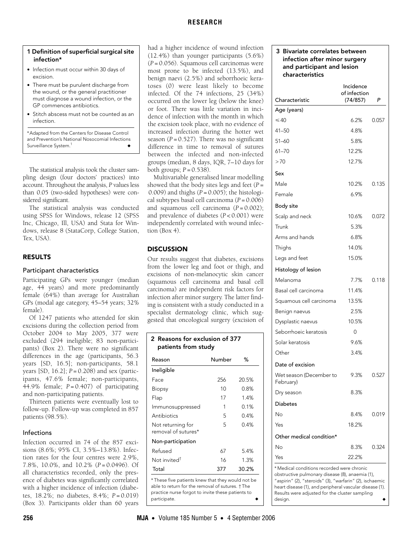# **RESEARCH**

## <span id="page-1-0"></span>1 Definition of superficial surgical site infection\*

- Infection must occur within 30 days of excision.
- There must be purulent discharge from the wound, or the general practitioner must diagnose a wound infection, or the GP commences antibiotics.
- Stitch abscess must not be counted as an infection.

\*Adapted from the Centers for Disease Control and Prevention's National Nosocomial Infections Surveillance System.<sup>[1](#page-3-0)</sup>

The statistical analysis took the cluster sampling design (four doctors' practices) into account. Throughout the analysis, *P* values less than 0.05 (two-sided hypotheses) were considered significant.

The statistical analysis was conducted using SPSS for Windows, release 12 (SPSS Inc, Chicago, Ill, USA) and Stata for Windows, release 8 (StataCorp, College Station, Tex, USA).

# RESULTS

# Participant characteristics

Participating GPs were younger (median age, 44 years) and more predominantly female (64%) than average for Australian GPs (modal age category, 45–54 years; 32% female).

Of 1247 patients who attended for skin excisions during the collection period from October 2004 to May 2005, 377 were excluded (294 ineligible; 83 non-participants) [\(Box 2](#page-1-1)). There were no significant differences in the age (participants, 56.3 years [SD, 16.5]; non-participants, 58.1 years [SD, 16.2]; *P* = 0.208) and sex (participants, 47.6% female; non-participants, 44.9% female; *P* = 0.407) of participating and non-participating patients.

Thirteen patients were eventually lost to follow-up. Follow-up was completed in 857 patients (98.5%).

# Infections

Infection occurred in 74 of the 857 excisions (8.6%; 95% CI, 3.5%–13.8%). Infection rates for the four centres were 2.9%, 7.8%, 10.0%, and 10.2% (*P* = 0.0496). Of all characteristics recorded, only the presence of diabetes was significantly correlated with a higher incidence of infection (diabetes, 18.2%; no diabetes, 8.4%; *P* = 0.019) [\(Box 3](#page-1-2)). Participants older than 60 years had a higher incidence of wound infection (12.4%) than younger participants (5.6%) (*P* = 0.056). Squamous cell carcinomas were most prone to be infected (13.5%), and benign naevi (2.5%) and seborrhoeic keratoses (0) were least likely to become infected. Of the 74 infections, 25 (34%) occurred on the lower leg (below the knee) or foot. There was little variation in incidence of infection with the month in which the excision took place, with no evidence of increased infection during the hotter wet season  $(P = 0.527)$ . There was no significant difference in time to removal of sutures between the infected and non-infected groups (median, 8 days, IQR, 7–10 days for both groups;  $P = 0.538$ ).

Multivariable generalised linear modelling showed that the body sites legs and feet (*P* = 0.009) and thighs (*P* = 0.005); the histological subtypes basal cell carcinoma (*P* = 0.006) and squamous cell carcinoma (*P* = 0.002); and prevalence of diabetes (*P* < 0.001) were independently correlated with wound infection ([Box 4\)](#page-2-0).

# **DISCUSSION**

Our results suggest that diabetes, excisions from the lower leg and foot or thigh, and excisions of non-melanocytic skin cancer (squamous cell carcinoma and basal cell carcinoma) are independent risk factors for infection after minor surgery. The latter finding is consistent with a study conducted in a specialist dermatology clinic, which suggested that oncological surgery (excision of

<span id="page-1-1"></span>

| 2 Reasons for exclusion of 377<br>patients from study |             |       |  |  |  |  |
|-------------------------------------------------------|-------------|-------|--|--|--|--|
| Reason                                                | Number<br>℅ |       |  |  |  |  |
| Ineligible                                            |             |       |  |  |  |  |
| Face                                                  | 256         | 20.5% |  |  |  |  |
| Biopsy                                                | 10          | 0.8%  |  |  |  |  |
| Flap                                                  | 17          | 1.4%  |  |  |  |  |
| Immunosuppressed                                      | 1           | 0.1%  |  |  |  |  |
| Antibiotics                                           | 5           | 0.4%  |  |  |  |  |
| Not returning for<br>removal of sutures*              | 5           | 0.4%  |  |  |  |  |
| Non-participation                                     |             |       |  |  |  |  |
| Refused                                               | 67          | 5.4%  |  |  |  |  |
| Not invited <sup>†</sup>                              | 16          | 1.3%  |  |  |  |  |
| Total                                                 | 377         | 30.2% |  |  |  |  |
|                                                       |             |       |  |  |  |  |

\* These five patients knew that they would not be able to return for the removal of sutures. † The practice nurse forgot to invite these patients to participate.

# <span id="page-1-2"></span>3 Bivariate correlates between infection after minor surgery and participant and lesion characteristics

|                                            | Incidence<br>of infection |       |  |  |  |
|--------------------------------------------|---------------------------|-------|--|--|--|
| Characteristic                             | (74/857)                  | P     |  |  |  |
| Age (years)                                |                           |       |  |  |  |
| $\leq 40$                                  | 6.2%                      | 0.057 |  |  |  |
| $41 - 50$                                  | 48%                       |       |  |  |  |
| $51 - 60$                                  | 5.8%                      |       |  |  |  |
| $61 - 70$                                  | 12.2%                     |       |  |  |  |
| >70                                        | 12.7%                     |       |  |  |  |
| Sex                                        |                           |       |  |  |  |
| Male                                       | 10.2%                     | 0.135 |  |  |  |
| Female                                     | 6.9%                      |       |  |  |  |
| Body site                                  |                           |       |  |  |  |
| Scalp and neck                             | 10.6%                     | 0.072 |  |  |  |
| Trunk                                      | 5.3%                      |       |  |  |  |
| Arms and hands                             | 6.8%                      |       |  |  |  |
| Thighs                                     | 14.0%                     |       |  |  |  |
| Legs and feet                              | 15.0%                     |       |  |  |  |
| Histology of lesion                        |                           |       |  |  |  |
| Melanoma                                   | 7.7%                      | 0.118 |  |  |  |
| Basal cell carcinoma                       | 11.4%                     |       |  |  |  |
| Squamous cell carcinoma                    | 13.5%                     |       |  |  |  |
| Benign naevus                              | 2.5%                      |       |  |  |  |
| Dysplastic naevus                          | 10.5%                     |       |  |  |  |
| Seborrhoeic keratosis                      | 0                         |       |  |  |  |
| Solar keratosis                            | 9.6%                      |       |  |  |  |
| Other                                      | 3.4%                      |       |  |  |  |
| Date of excision                           |                           |       |  |  |  |
| Wet season (December to<br>February)       | 9.3%                      | 0.527 |  |  |  |
| Dry season                                 | 8.3%                      |       |  |  |  |
| <b>Diabetes</b>                            |                           |       |  |  |  |
| No                                         | 8.4%                      | 0.019 |  |  |  |
| Yes                                        | 18.2%                     |       |  |  |  |
| Other medical condition*                   |                           |       |  |  |  |
| No                                         | 8.3%                      | 0.324 |  |  |  |
| Yes                                        | 22.2%                     |       |  |  |  |
| * Medical conditions recorded were chronic |                           |       |  |  |  |

obstructive pulmonary disease (8), anaemia (1), "aspirin" (2), "steroids" (3), "warfarin" (2), ischaemic heart disease (1), and peripheral vascular disease (1). Results were adjusted for the cluster sampling design.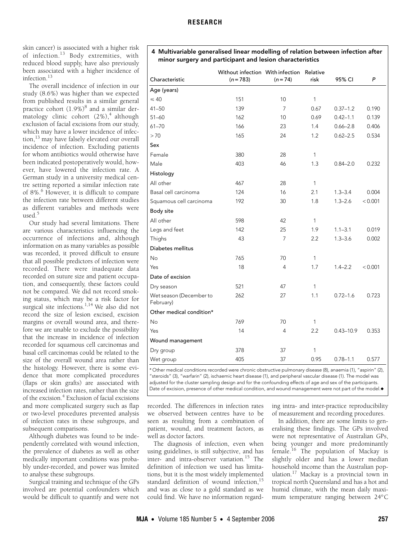skin cancer) is associated with a higher risk of infection.[13](#page-3-11) Body extremities, with reduced blood supply, have also previously been associated with a higher incidence of infection<sup>[13](#page-3-11)</sup>

The overall incidence of infection in our study (8.6%) was higher than we expected from published results in a similar general practice cohort (1.9%)<sup>[8](#page-3-5)</sup> and a similar dermatology clinic cohort  $(2\%)$ ,<sup>[4](#page-3-2)</sup> although exclusion of facial excisions from our study, which may have a lower incidence of infection,[13](#page-3-11) may have falsely elevated our overall incidence of infection. Excluding patients for whom antibiotics would otherwise have been indicated postoperatively would, however, have lowered the infection rate. A German study in a university medical centre setting reported a similar infection rate of 8%.<sup>[6](#page-3-3)</sup> However, it is difficult to compare the infection rate between different studies as different variables and methods were used $5$ 

Our study had several limitations. There are various characteristics influencing the occurrence of infections and, although information on as many variables as possible was recorded, it proved difficult to ensure that all possible predictors of infection were recorded. There were inadequate data recorded on suture size and patient occupation, and consequently, these factors could not be compared. We did not record smoking status, which may be a risk factor for surgical site infections.<sup>1,[14](#page-3-13)</sup> We also did not record the size of lesion excised, excision margins or overall wound area, and therefore we are unable to exclude the possibility that the increase in incidence of infection recorded for squamous cell carcinomas and basal cell carcinomas could be related to the size of the overall wound area rather than the histology. However, there is some evidence that more complicated procedures (flaps or skin grafts) are associated with increased infection rates, rather than the size of the excision.<sup>4</sup> Exclusion of facial excisions and more complicated surgery such as flap or two-level procedures prevented analysis of infection rates in these subgroups, and subsequent comparisons.

Although diabetes was found to be independently correlated with wound infection, the prevalence of diabetes as well as other medically important conditions was probably under-recorded, and power was limited to analyse these subgroups.

Surgical training and technique of the GPs involved are potential confounders which would be difficult to quantify and were not

## <span id="page-2-0"></span>4 Multivariable generalised linear modelling of relation between infection after minor surgery and participant and lesion characteristics

| Characteristic                       | Without infection With infection<br>$(n = 783)$ | $(n = 74)$     | Relative<br>risk | 95% CI        | P       |
|--------------------------------------|-------------------------------------------------|----------------|------------------|---------------|---------|
| Age (years)                          |                                                 |                |                  |               |         |
| $\leq 40$                            | 151                                             | 10             | 1                |               |         |
| $41 - 50$                            | 139                                             | 7              | 0.67             | $0.37 - 1.2$  | 0.190   |
| $51 - 60$                            | 162                                             | 10             | 0.69             | $0.42 - 1.1$  | 0.139   |
| $61 - 70$                            | 166                                             | 23             | 1.4              | $0.66 - 2.8$  | 0.406   |
| > 70                                 | 165                                             | 24             | 1.2              | $0.62 - 2.5$  | 0.534   |
| Sex                                  |                                                 |                |                  |               |         |
| Female                               | 380                                             | 28             | 1                |               |         |
| Male                                 | 403                                             | 46             | 1.3              | $0.84 - 2.0$  | 0.232   |
| Histology                            |                                                 |                |                  |               |         |
| All other                            | 467                                             | 28             | 1                |               |         |
| Basal cell carcinoma                 | 124                                             | 16             | 2.1              | $1.3 - 3.4$   | 0.004   |
| Squamous cell carcinoma              | 192                                             | 30             | 1.8              | $1.3 - 2.6$   | < 0.001 |
| Body site                            |                                                 |                |                  |               |         |
| All other                            | 598                                             | 42             | 1                |               |         |
| Legs and feet                        | 142                                             | 25             | 1.9              | $1.1 - 3.1$   | 0.019   |
| Thighs                               | 43                                              | $\overline{7}$ | 2.2              | $1.3 - 3.6$   | 0.002   |
| Diabetes mellitus                    |                                                 |                |                  |               |         |
| <b>No</b>                            | 765                                             | 70             | 1                |               |         |
| Yes                                  | 18                                              | 4              | 1.7              | $1.4 - 2.2$   | < 0.001 |
| Date of excision                     |                                                 |                |                  |               |         |
| Dry season                           | 521                                             | 47             | 1                |               |         |
| Wet season (December to<br>February) | 262                                             | 27             | 1.1              | $0.72 - 1.6$  | 0.723   |
| Other medical condition*             |                                                 |                |                  |               |         |
| <b>No</b>                            | 769                                             | 70             | 1                |               |         |
| Yes                                  | 14                                              | $\overline{4}$ | 2.2              | $0.43 - 10.9$ | 0.353   |
| Wound management                     |                                                 |                |                  |               |         |
| Dry group                            | 378                                             | 37             | 1                |               |         |
| Wet group                            | 405                                             | 37             | 0.95             | $0.78 - 1.1$  | 0.577   |

\* Other medical conditions recorded were chronic obstructive pulmonary disease (8), anaemia (1), "aspirin" (2), "steroids" (3), "warfarin" (2), ischaemic heart disease (1), and peripheral vascular disease (1). The model was adjusted for the cluster sampling design and for the confounding effects of age and sex of the participants. Date of excision, presence of other medical condition, and wound management were not part of the model.◆

recorded. The differences in infection rates we observed between centres have to be seen as resulting from a combination of patient, wound, and treatment factors, as well as doctor factors.

The diagnosis of infection, even when using guidelines, is still subjective, and has inter- and intra-observer variation.[15](#page-3-14) The definition of infection we used has limitations, but it is the most widely implemented standard definition of wound infection,<sup>15</sup> and was as close to a gold standard as we could find. We have no information regarding intra- and inter-practice reproducibility of measurement and recording procedures.

In addition, there are some limits to generalising these findings. The GPs involved were not representative of Australian GPs, being younger and more predominantly female.[16](#page-3-15) The population of Mackay is slightly older and has a lower median household income than the Australian population[.17](#page-3-16) Mackay is a provincial town in tropical north Queensland and has a hot and humid climate, with the mean daily maximum temperature ranging between 24°C